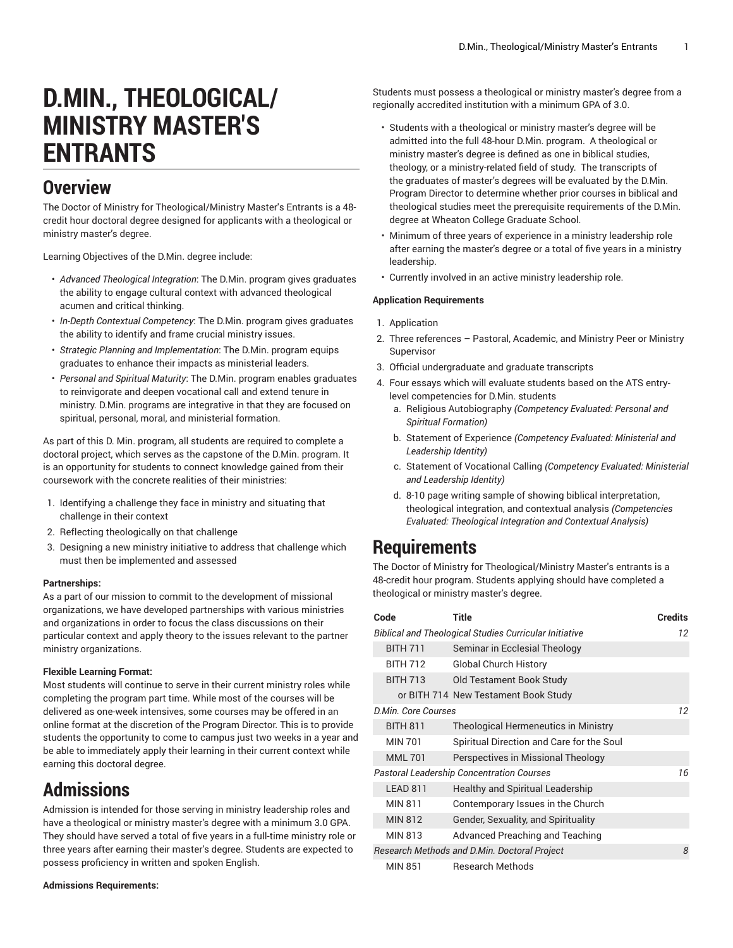# **D.MIN., THEOLOGICAL/ MINISTRY MASTER'S ENTRANTS**

### **Overview**

The Doctor of Ministry for Theological/Ministry Master's Entrants is a 48 credit hour doctoral degree designed for applicants with a theological or ministry master's degree.

Learning Objectives of the D.Min. degree include:

- *Advanced Theological Integration*: The D.Min. program gives graduates the ability to engage cultural context with advanced theological acumen and critical thinking.
- *In-Depth Contextual Competency*: The D.Min. program gives graduates the ability to identify and frame crucial ministry issues.
- *Strategic Planning and Implementation*: The D.Min. program equips graduates to enhance their impacts as ministerial leaders.
- *Personal and Spiritual Maturity*: The D.Min. program enables graduates to reinvigorate and deepen vocational call and extend tenure in ministry. D.Min. programs are integrative in that they are focused on spiritual, personal, moral, and ministerial formation.

As part of this D. Min. program, all students are required to complete a doctoral project, which serves as the capstone of the D.Min. program. It is an opportunity for students to connect knowledge gained from their coursework with the concrete realities of their ministries:

- 1. Identifying a challenge they face in ministry and situating that challenge in their context
- 2. Reflecting theologically on that challenge
- 3. Designing a new ministry initiative to address that challenge which must then be implemented and assessed

#### **Partnerships:**

As a part of our mission to commit to the development of missional organizations, we have developed partnerships with various ministries and organizations in order to focus the class discussions on their particular context and apply theory to the issues relevant to the partner ministry organizations.

#### **Flexible Learning Format:**

Most students will continue to serve in their current ministry roles while completing the program part time. While most of the courses will be delivered as one-week intensives, some courses may be offered in an online format at the discretion of the Program Director. This is to provide students the opportunity to come to campus just two weeks in a year and be able to immediately apply their learning in their current context while earning this doctoral degree.

## **Admissions**

Admission is intended for those serving in ministry leadership roles and have a theological or ministry master's degree with a minimum 3.0 GPA. They should have served a total of five years in a full-time ministry role or three years after earning their master's degree. Students are expected to possess proficiency in written and spoken English.

**Admissions Requirements:**

Students must possess a theological or ministry master's degree from a regionally accredited institution with a minimum GPA of 3.0.

- Students with a theological or ministry master's degree will be admitted into the full 48-hour D.Min. program. A theological or ministry master's degree is defined as one in biblical studies, theology, or a ministry-related field of study. The transcripts of the graduates of master's degrees will be evaluated by the D.Min. Program Director to determine whether prior courses in biblical and theological studies meet the prerequisite requirements of the D.Min. degree at Wheaton College Graduate School.
- Minimum of three years of experience in a ministry leadership role after earning the master's degree or a total of five years in a ministry leadership.
- Currently involved in an active ministry leadership role.

#### **Application Requirements**

- 1. Application
- 2. Three references Pastoral, Academic, and Ministry Peer or Ministry Supervisor
- 3. Official undergraduate and graduate transcripts
- 4. Four essays which will evaluate students based on the ATS entrylevel competencies for D.Min. students
	- a. Religious Autobiography *(Competency Evaluated: Personal and Spiritual Formation)*
	- b. Statement of Experience *(Competency Evaluated: Ministerial and Leadership Identity)*
	- c. Statement of Vocational Calling *(Competency Evaluated: Ministerial and Leadership Identity)*
	- d. 8-10 page writing sample of showing biblical interpretation, theological integration, and contextual analysis *(Competencies Evaluated: Theological Integration and Contextual Analysis)*

### **Requirements**

The Doctor of Ministry for Theological/Ministry Master's entrants is a 48-credit hour program. Students applying should have completed a theological or ministry master's degree.

| Code                | Title                                                         | <b>Credits</b> |
|---------------------|---------------------------------------------------------------|----------------|
|                     | <b>Biblical and Theological Studies Curricular Initiative</b> | 12             |
| <b>BITH 711</b>     | Seminar in Ecclesial Theology                                 |                |
| <b>BITH 712</b>     | <b>Global Church History</b>                                  |                |
| <b>BITH 713</b>     | Old Testament Book Study                                      |                |
|                     | or BITH 714 New Testament Book Study                          |                |
| D.Min. Core Courses |                                                               | 12             |
| <b>BITH 811</b>     | <b>Theological Hermeneutics in Ministry</b>                   |                |
| <b>MIN 701</b>      | Spiritual Direction and Care for the Soul                     |                |
| <b>MML 701</b>      | Perspectives in Missional Theology                            |                |
|                     | <b>Pastoral Leadership Concentration Courses</b>              | 16             |
| LEAD 811            | Healthy and Spiritual Leadership                              |                |
| <b>MIN 811</b>      | Contemporary Issues in the Church                             |                |
| <b>MIN 812</b>      | Gender, Sexuality, and Spirituality                           |                |
| MIN 813             | Advanced Preaching and Teaching                               |                |
|                     | Research Methods and D.Min. Doctoral Project                  | 8              |
| <b>MIN 851</b>      | <b>Research Methods</b>                                       |                |